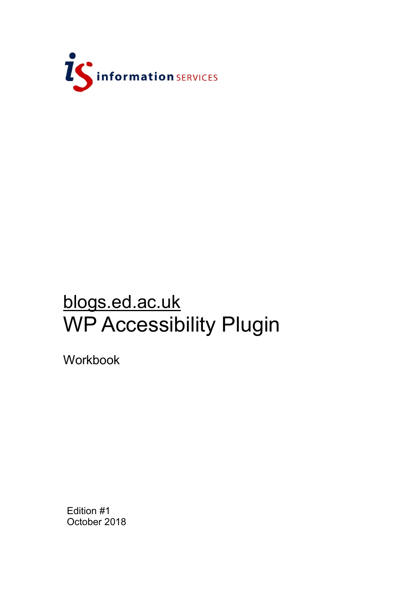

# blogs.ed.ac.uk WP Accessibility Plugin

Workbook

Edition #1 October 2018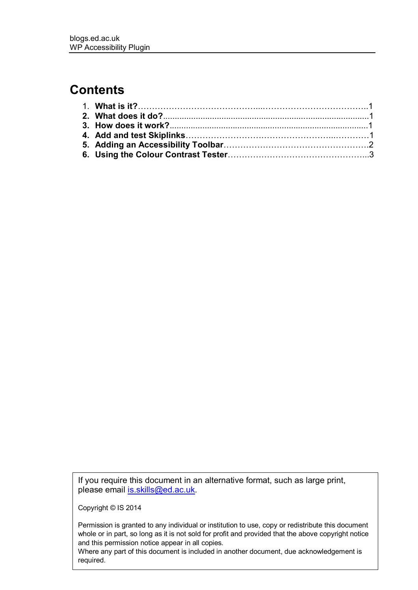### **Contents**

If you require this document in an alternative format, such as large print, please email [is.skills@ed.ac.uk.](mailto:is.skills@ed.ac.uk)

Copyright © IS 2014

Permission is granted to any individual or institution to use, copy or redistribute this document whole or in part, so long as it is not sold for profit and provided that the above copyright notice and this permission notice appear in all copies.

Where any part of this document is included in another document, due acknowledgement is required.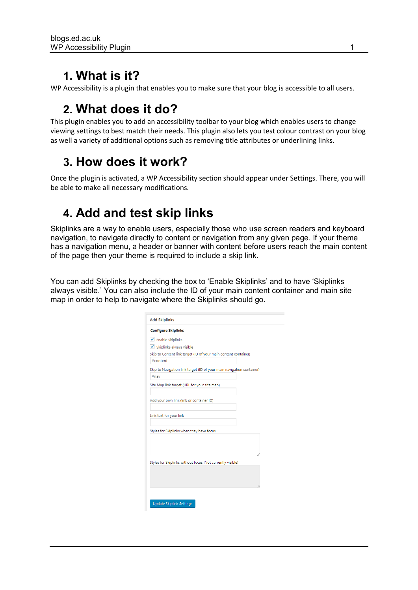### **1. What is it?**

WP Accessibility is a plugin that enables you to make sure that your blog is accessible to all users.

# **2. What does it do?**

This plugin enables you to add an accessibility toolbar to your blog which enables users to change viewing settings to best match their needs. This plugin also lets you test colour contrast on your blog as well a variety of additional options such as removing title attributes or underlining links.

### **3. How does it work?**

Once the plugin is activated, a WP Accessibility section should appear under Settings. There, you will be able to make all necessary modifications.

## **4. Add and test skip links**

Skiplinks are a way to enable users, especially those who use screen readers and keyboard navigation, to navigate directly to content or navigation from any given page. If your theme has a navigation menu, a header or banner with content before users reach the main content of the page then your theme is required to include a skip link.

You can add Skiplinks by checking the box to 'Enable Skiplinks' and to have 'Skiplinks always visible.' You can also include the ID of your main content container and main site map in order to help to navigate where the Skiplinks should go.

| <b>Configure Skiplinks</b>                                            |  |
|-----------------------------------------------------------------------|--|
| ✔ Enable Skiplinks                                                    |  |
| ✔ Skiplinks always visible                                            |  |
| Skip to Content link target (ID of your main content container)       |  |
| #content                                                              |  |
| Skip to Navigation link target (ID of your main navigation container) |  |
| #nav                                                                  |  |
| Site Map link target (URL for your site map)                          |  |
| Add your own link (link or container ID)                              |  |
| Link text for your link                                               |  |
| Styles for Skiplinks when they have focus                             |  |
|                                                                       |  |
|                                                                       |  |
| Styles for Skiplinks without focus (Not currently visible)            |  |
|                                                                       |  |
|                                                                       |  |
|                                                                       |  |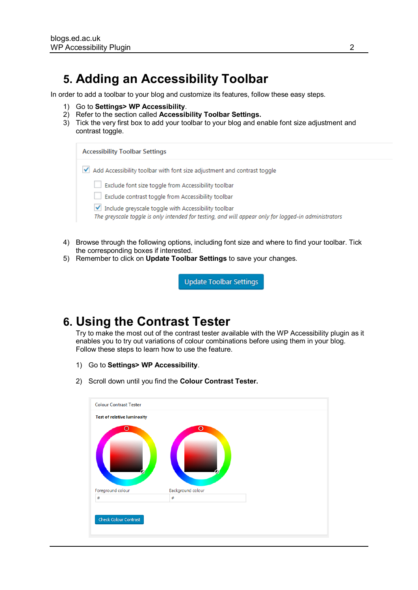#### **5. Adding an Accessibility Toolbar**

In order to add a toolbar to your blog and customize its features, follow these easy steps.

- 1) Go to **Settings> WP Accessibility**.
- 2) Refer to the section called **Accessibility Toolbar Settings.**
- 3) Tick the very first box to add your toolbar to your blog and enable font size adjustment and contrast toggle.

| <b>Accessibility Toolbar Settings</b>                                                                                                                                                                                                                                    |  |  |
|--------------------------------------------------------------------------------------------------------------------------------------------------------------------------------------------------------------------------------------------------------------------------|--|--|
| Add Accessibility toolbar with font size adjustment and contrast toggle                                                                                                                                                                                                  |  |  |
| Exclude font size toggle from Accessibility toolbar<br>Exclude contrast toggle from Accessibility toolbar<br>Include greyscale toggle with Accessibility toolbar<br>The greyscale toggle is only intended for testing, and will appear only for logged-in administrators |  |  |

- 4) Browse through the following options, including font size and where to find your toolbar. Tick the corresponding boxes if interested.
- 5) Remember to click on **Update Toolbar Settings** to save your changes.

**Update Toolbar Settings** 

#### **6. Using the Contrast Tester**

Try to make the most out of the contrast tester available with the WP Accessibility plugin as it enables you to try out variations of colour combinations before using them in your blog. Follow these steps to learn how to use the feature.

- 1) Go to **Settings> WP Accessibility**.
- 2) Scroll down until you find the **Colour Contrast Tester.**

| о                 | о                 |  |
|-------------------|-------------------|--|
| Foreground colour | Background colour |  |
| #                 | #                 |  |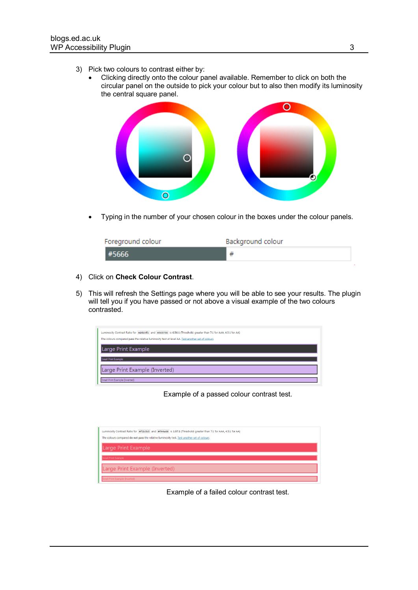- 3) Pick two colours to contrast either by:
	- Clicking directly onto the colour panel available. Remember to click on both the circular panel on the outside to pick your colour but to also then modify its luminosity the central square panel.



Typing in the number of your chosen colour in the boxes under the colour panels.

| Foreground colour | Background colour |
|-------------------|-------------------|
|                   |                   |

- 4) Click on **Check Colour Contrast**.
- 5) This will refresh the Settings page where you will be able to see your results. The plugin will tell you if you have passed or not above a visual example of the two colours contrasted.



Example of a passed colour contrast test.



Example of a failed colour contrast test.